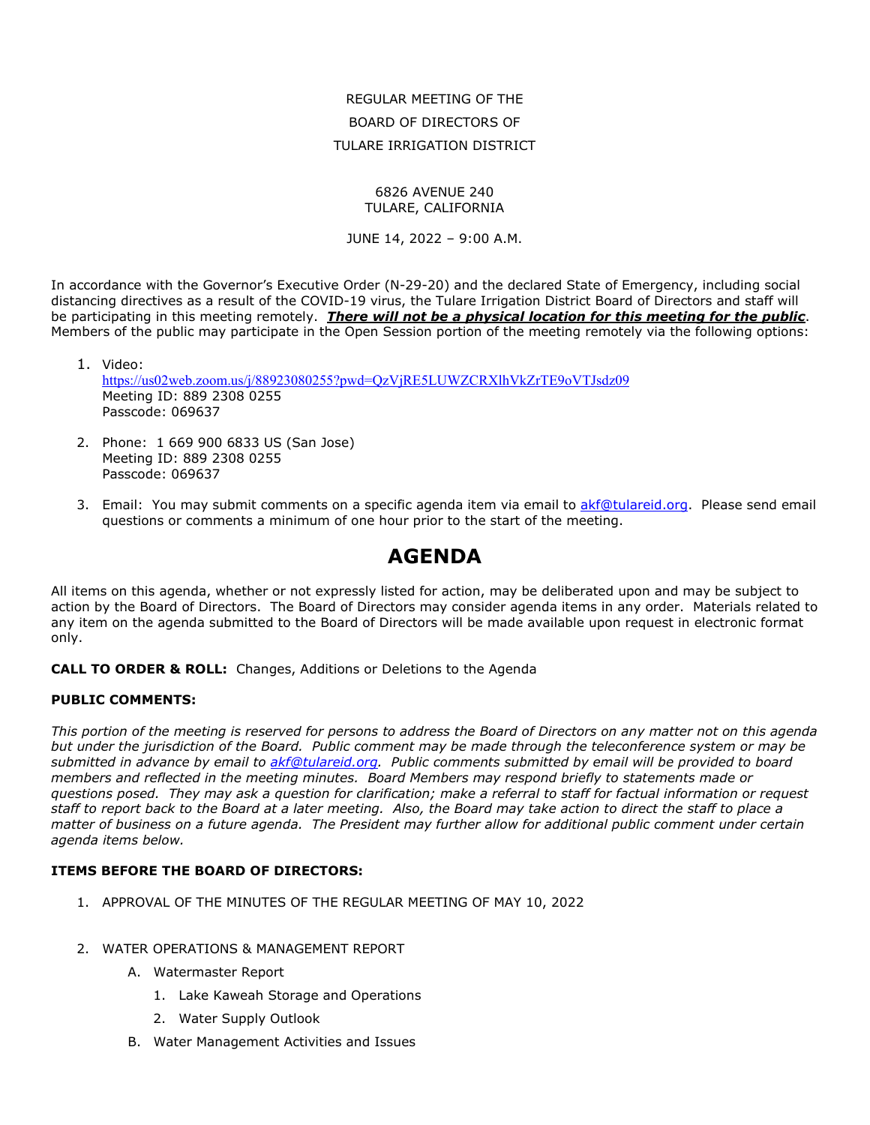REGULAR MEETING OF THE BOARD OF DIRECTORS OF TULARE IRRIGATION DISTRICT

#### 6826 AVENUE 240 TULARE, CALIFORNIA

JUNE 14, 2022 – 9:00 A.M.

In accordance with the Governor's Executive Order (N-29-20) and the declared State of Emergency, including social distancing directives as a result of the COVID-19 virus, the Tulare Irrigation District Board of Directors and staff will be participating in this meeting remotely. *There will not be a physical location for this meeting for the public*. Members of the public may participate in the Open Session portion of the meeting remotely via the following options:

1. Video: <https://us02web.zoom.us/j/88923080255?pwd=QzVjRE5LUWZCRXlhVkZrTE9oVTJsdz09> Meeting ID: 889 2308 0255 Passcode: 069637

- 2. Phone: 1 669 900 6833 US (San Jose) Meeting ID: 889 2308 0255 Passcode: 069637
- 3. Email: You may submit comments on a specific agenda item via email to [akf@tulareid.org.](mailto:akf@tulareid.org) Please send email questions or comments a minimum of one hour prior to the start of the meeting.

# **AGENDA**

All items on this agenda, whether or not expressly listed for action, may be deliberated upon and may be subject to action by the Board of Directors. The Board of Directors may consider agenda items in any order. Materials related to any item on the agenda submitted to the Board of Directors will be made available upon request in electronic format only.

**CALL TO ORDER & ROLL:** Changes, Additions or Deletions to the Agenda

#### **PUBLIC COMMENTS:**

*This portion of the meeting is reserved for persons to address the Board of Directors on any matter not on this agenda but under the jurisdiction of the Board. Public comment may be made through the teleconference system or may be submitted in advance by email to [akf@tulareid.org.](mailto:akf@tulareid.org) Public comments submitted by email will be provided to board members and reflected in the meeting minutes. Board Members may respond briefly to statements made or questions posed. They may ask a question for clarification; make a referral to staff for factual information or request staff to report back to the Board at a later meeting. Also, the Board may take action to direct the staff to place a matter of business on a future agenda. The President may further allow for additional public comment under certain agenda items below.*

# **ITEMS BEFORE THE BOARD OF DIRECTORS:**

- 1. APPROVAL OF THE MINUTES OF THE REGULAR MEETING OF MAY 10, 2022
- 2. WATER OPERATIONS & MANAGEMENT REPORT
	- A. Watermaster Report
		- 1. Lake Kaweah Storage and Operations
		- 2. Water Supply Outlook
	- B. Water Management Activities and Issues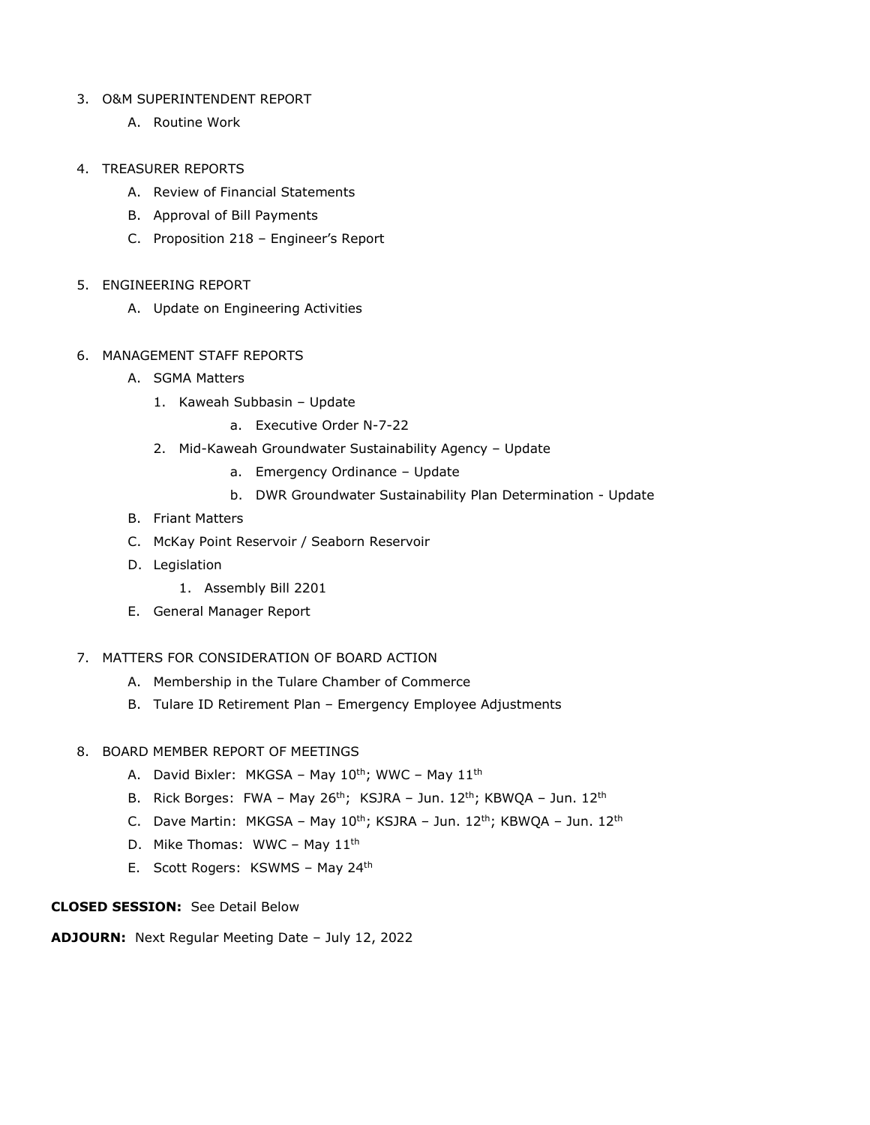## 3. O&M SUPERINTENDENT REPORT

A. Routine Work

# 4. TREASURER REPORTS

- A. Review of Financial Statements
- B. Approval of Bill Payments
- C. Proposition 218 Engineer's Report
- 5. ENGINEERING REPORT
	- A. Update on Engineering Activities
- 6. MANAGEMENT STAFF REPORTS
	- A. SGMA Matters
		- 1. Kaweah Subbasin Update
			- a. Executive Order N-7-22
		- 2. Mid-Kaweah Groundwater Sustainability Agency Update
			- a. Emergency Ordinance Update
			- b. DWR Groundwater Sustainability Plan Determination Update
	- B. Friant Matters
	- C. McKay Point Reservoir / Seaborn Reservoir
	- D. Legislation
		- 1. Assembly Bill 2201
	- E. General Manager Report
- 7. MATTERS FOR CONSIDERATION OF BOARD ACTION
	- A. Membership in the Tulare Chamber of Commerce
	- B. Tulare ID Retirement Plan Emergency Employee Adjustments

#### 8. BOARD MEMBER REPORT OF MEETINGS

- A. David Bixler: MKGSA May  $10^{th}$ ; WWC May  $11^{th}$
- B. Rick Borges: FWA May 26<sup>th</sup>; KSJRA Jun. 12<sup>th</sup>; KBWQA Jun. 12<sup>th</sup>
- C. Dave Martin: MKGSA May 10<sup>th</sup>; KSJRA Jun. 12<sup>th</sup>; KBWQA Jun. 12<sup>th</sup>
- D. Mike Thomas: WWC May 11<sup>th</sup>
- E. Scott Rogers: KSWMS May 24th

# **CLOSED SESSION:** See Detail Below

**ADJOURN:** Next Regular Meeting Date – July 12, 2022